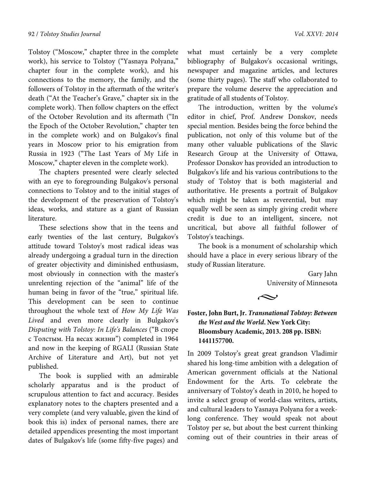Tolstoy ("Moscow," chapter three in the complete work), his service to Tolstoy ("Yasnaya Polyana," chapter four in the complete work), and his connections to the memory, the family, and the followers of Tolstoy in the aftermath of the writer's death ("At the Teacher's Grave," chapter six in the complete work). Then follow chapters on the effect of the October Revolution and its aftermath ("In the Epoch of the October Revolution," chapter ten in the complete work) and on Bulgakov's final years in Moscow prior to his emigration from Russia in 1923 ("The Last Years of My Life in Moscow," chapter eleven in the complete work).

The chapters presented were clearly selected with an eye to foregrounding Bulgakov's personal connections to Tolstoy and to the initial stages of the development of the preservation of Tolstoy's ideas, works, and stature as a giant of Russian literature.

These selections show that in the teens and early twenties of the last century, Bulgakov's attitude toward Tolstoy's most radical ideas was already undergoing a gradual turn in the direction of greater objectivity and diminished enthusiasm, most obviously in connection with the master's unrelenting rejection of the "animal" life of the human being in favor of the "true," spiritual life. This development can be seen to continue throughout the whole text of *How My Life Was Lived* and even more clearly in Bulgakov's *Disputing with Tolstoy: In Life's Balances* ("В споре с Толстым. На весах жизни") completed in 1964 and now in the keeping of RGALI (Russian State Archive of Literature and Art), but not yet published.

The book is supplied with an admirable scholarly apparatus and is the product of scrupulous attention to fact and accuracy. Besides explanatory notes to the chapters presented and a very complete (and very valuable, given the kind of book this is) index of personal names, there are detailed appendices presenting the most important dates of Bulgakov's life (some fifty-five pages) and

what must certainly be a very complete bibliography of Bulgakov's occasional writings, newspaper and magazine articles, and lectures (some thirty pages). The staff who collaborated to prepare the volume deserve the appreciation and gratitude of all students of Tolstoy.

The introduction, written by the volume's editor in chief, Prof. Andrew Donskov, needs special mention. Besides being the force behind the publication, not only of this volume but of the many other valuable publications of the Slavic Research Group at the University of Ottawa, Professor Donskov has provided an introduction to Bulgakov's life and his various contributions to the study of Tolstoy that is both magisterial and authoritative. He presents a portrait of Bulgakov which might be taken as reverential, but may equally well be seen as simply giving credit where credit is due to an intelligent, sincere, not uncritical, but above all faithful follower of Tolstoy's teachings.

The book is a monument of scholarship which should have a place in every serious library of the study of Russian literature.

> Gary Jahn University of Minnesota



## **Foster, John Burt, Jr.** *Transnational Tolstoy: Between the West and the World***. New York City: Bloomsbury Academic, 2013. 208 pp. ISBN: 1441157700.**

In 2009 Tolstoy's great great grandson Vladimir shared his long-time ambition with a delegation of American government officials at the National Endowment for the Arts. To celebrate the anniversary of Tolstoy's death in 2010, he hoped to invite a select group of world-class writers, artists, and cultural leaders to Yasnaya Polyana for a weeklong conference. They would speak not about Tolstoy per se, but about the best current thinking coming out of their countries in their areas of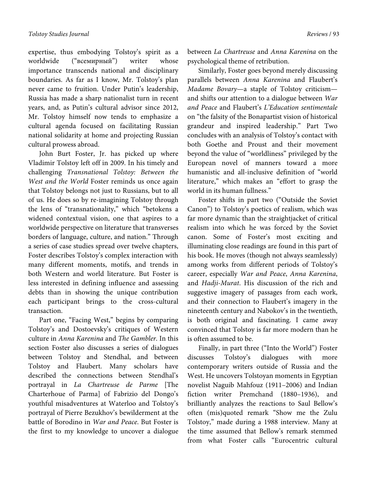expertise, thus embodying Tolstoy's spirit as a worldwide ("всемирный") writer whose importance transcends national and disciplinary boundaries. As far as I know, Mr. Tolstoy's plan never came to fruition. Under Putin's leadership, Russia has made a sharp nationalist turn in recent years, and, as Putin's cultural advisor since 2012, Mr. Tolstoy himself now tends to emphasize a cultural agenda focused on facilitating Russian national solidarity at home and projecting Russian cultural prowess abroad.

John Burt Foster, Jr. has picked up where Vladimir Tolstoy left off in 2009. In his timely and challenging *Transnational Tolstoy: Between the West and the World* Foster reminds us once again that Tolstoy belongs not just to Russians, but to all of us. He does so by re-imagining Tolstoy through the lens of "transnationality," which "betokens a widened contextual vision, one that aspires to a worldwide perspective on literature that transverses borders of language, culture, and nation." Through a series of case studies spread over twelve chapters, Foster describes Tolstoy's complex interaction with many different moments, motifs, and trends in both Western and world literature. But Foster is less interested in defining influence and assessing debts than in showing the unique contribution each participant brings to the cross-cultural transaction.

Part one, "Facing West," begins by comparing Tolstoy's and Dostoevsky's critiques of Western culture in *Anna Karenina* and *The Gambler*. In this section Foster also discusses a series of dialogues between Tolstoy and Stendhal, and between Tolstoy and Flaubert. Many scholars have described the connections between Stendhal's portrayal in *La Chartreuse de Parme* [The Charterhoue of Parma] of Fabrizio del Dongo's youthful misadventures at Waterloo and Tolstoy's portrayal of Pierre Bezukhov's bewilderment at the battle of Borodino in *War and Peace*. But Foster is the first to my knowledge to uncover a dialogue

between *La Chartreuse* and *Anna Karenina* on the psychological theme of retribution.

Similarly, Foster goes beyond merely discussing parallels between *Anna Karenina* and Flaubert's *Madame Bovary*—a staple of Tolstoy criticism and shifts our attention to a dialogue between *War and Peace* and Flaubert's *L'Education sentimentale* on "the falsity of the Bonapartist vision of historical grandeur and inspired leadership." Part Two concludes with an analysis of Tolstoy's contact with both Goethe and Proust and their movement beyond the value of "worldliness" privileged by the European novel of manners toward a more humanistic and all-inclusive definition of "world literature," which makes an "effort to grasp the world in its human fullness."

Foster shifts in part two ("Outside the Soviet Canon") to Tolstoy's poetics of realism, which was far more dynamic than the straightjacket of critical realism into which he was forced by the Soviet canon. Some of Foster's most exciting and illuminating close readings are found in this part of his book. He moves (though not always seamlessly) among works from different periods of Tolstoy's career, especially *War and Peace*, *Anna Karenina*, and *Hadji-Murat*. His discussion of the rich and suggestive imagery of passages from each work, and their connection to Flaubert's imagery in the nineteenth century and Nabokov's in the twentieth, is both original and fascinating. I came away convinced that Tolstoy is far more modern than he is often assumed to be.

Finally, in part three ("Into the World") Foster discusses Tolstoy's dialogues with more contemporary writers outside of Russia and the West. He uncovers Tolstoyan moments in Egyptian novelist Naguib Mahfouz (1911–2006) and Indian fiction writer Premchand (1880–1936), and brilliantly analyzes the reactions to Saul Bellow's often (mis)quoted remark "Show me the Zulu Tolstoy," made during a 1988 interview. Many at the time assumed that Bellow's remark stemmed from what Foster calls "Eurocentric cultural